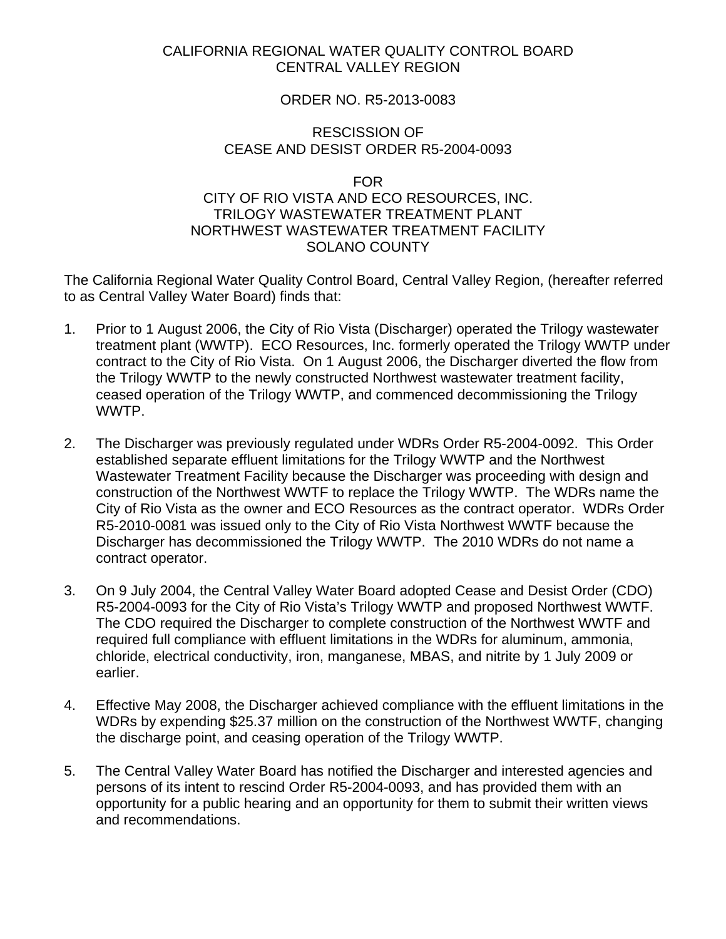## CALIFORNIA REGIONAL WATER QUALITY CONTROL BOARD CENTRAL VALLEY REGION

# ORDER NO. R5-2013-0083

### RESCISSION OF CEASE AND DESIST ORDER R5-2004-0093

#### FOR

# CITY OF RIO VISTA AND ECO RESOURCES, INC. TRILOGY WASTEWATER TREATMENT PLANT NORTHWEST WASTEWATER TREATMENT FACILITY SOLANO COUNTY

The California Regional Water Quality Control Board, Central Valley Region, (hereafter referred to as Central Valley Water Board) finds that:

- 1. Prior to 1 August 2006, the City of Rio Vista (Discharger) operated the Trilogy wastewater treatment plant (WWTP). ECO Resources, Inc. formerly operated the Trilogy WWTP under contract to the City of Rio Vista. On 1 August 2006, the Discharger diverted the flow from the Trilogy WWTP to the newly constructed Northwest wastewater treatment facility, ceased operation of the Trilogy WWTP, and commenced decommissioning the Trilogy WWTP.
- 2. The Discharger was previously regulated under WDRs Order R5-2004-0092. This Order established separate effluent limitations for the Trilogy WWTP and the Northwest Wastewater Treatment Facility because the Discharger was proceeding with design and construction of the Northwest WWTF to replace the Trilogy WWTP. The WDRs name the City of Rio Vista as the owner and ECO Resources as the contract operator. WDRs Order R5-2010-0081 was issued only to the City of Rio Vista Northwest WWTF because the Discharger has decommissioned the Trilogy WWTP. The 2010 WDRs do not name a contract operator.
- 3. On 9 July 2004, the Central Valley Water Board adopted Cease and Desist Order (CDO) R5-2004-0093 for the City of Rio Vista's Trilogy WWTP and proposed Northwest WWTF. The CDO required the Discharger to complete construction of the Northwest WWTF and required full compliance with effluent limitations in the WDRs for aluminum, ammonia, chloride, electrical conductivity, iron, manganese, MBAS, and nitrite by 1 July 2009 or earlier.
- 4. Effective May 2008, the Discharger achieved compliance with the effluent limitations in the WDRs by expending \$25.37 million on the construction of the Northwest WWTF, changing the discharge point, and ceasing operation of the Trilogy WWTP.
- 5. The Central Valley Water Board has notified the Discharger and interested agencies and persons of its intent to rescind Order R5-2004-0093, and has provided them with an opportunity for a public hearing and an opportunity for them to submit their written views and recommendations.